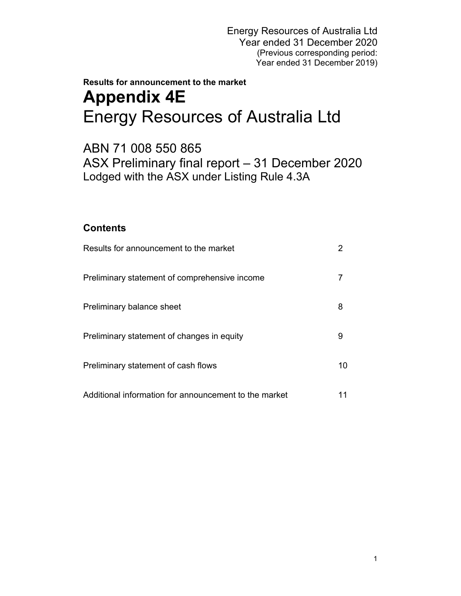# **Results for announcement to the market Appendix 4E**  Energy Resources of Australia Ltd

ABN 71 008 550 865 ASX Preliminary final report – 31 December 2020 Lodged with the ASX under Listing Rule 4.3A

# **Contents**

| Results for announcement to the market                |                 |
|-------------------------------------------------------|-----------------|
| Preliminary statement of comprehensive income         |                 |
| Preliminary balance sheet                             | 8               |
| Preliminary statement of changes in equity            | 9               |
| Preliminary statement of cash flows                   | 10 <sup>°</sup> |
| Additional information for announcement to the market |                 |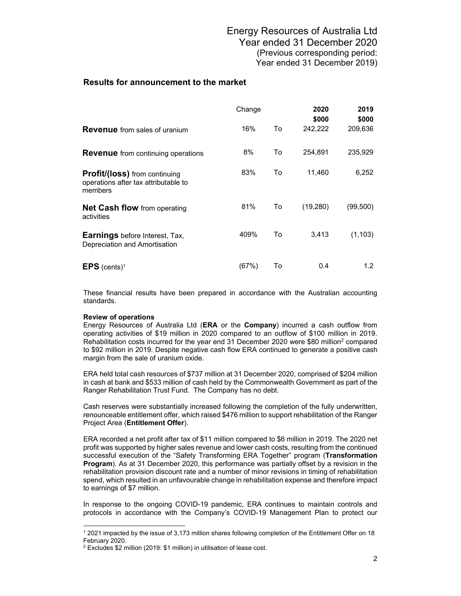|                                                                                         | Change |    | 2020<br>\$000 | 2019<br>\$000 |
|-----------------------------------------------------------------------------------------|--------|----|---------------|---------------|
| <b>Revenue</b> from sales of uranium                                                    | 16%    | To | 242,222       | 209,636       |
| <b>Revenue</b> from continuing operations                                               | 8%     | To | 254,891       | 235,929       |
| <b>Profit/(loss)</b> from continuing<br>operations after tax attributable to<br>members | 83%    | To | 11,460        | 6,252         |
| <b>Net Cash flow</b> from operating<br>activities                                       | 81%    | To | (19,280)      | (99,500)      |
| <b>Earnings</b> before Interest, Tax,<br>Depreciation and Amortisation                  | 409%   | To | 3,413         | (1, 103)      |
| <b>EPS</b> (cents) <sup>1</sup>                                                         | (67%)  | То | 0.4           | 1.2           |

These financial results have been prepared in accordance with the Australian accounting standards.

#### **Review of operations**

 $\overline{a}$ 

Energy Resources of Australia Ltd (**ERA** or the **Company**) incurred a cash outflow from operating activities of \$19 million in 2020 compared to an outflow of \$100 million in 2019. Rehabilitation costs incurred for the year end 31 December 2020 were \$80 million<sup>2</sup> compared to \$92 million in 2019. Despite negative cash flow ERA continued to generate a positive cash margin from the sale of uranium oxide.

ERA held total cash resources of \$737 million at 31 December 2020, comprised of \$204 million in cash at bank and \$533 million of cash held by the Commonwealth Government as part of the Ranger Rehabilitation Trust Fund. The Company has no debt.

Cash reserves were substantially increased following the completion of the fully underwritten, renounceable entitlement offer, which raised \$476 million to support rehabilitation of the Ranger Project Area (**Entitlement Offer**).

ERA recorded a net profit after tax of \$11 million compared to \$6 million in 2019. The 2020 net profit was supported by higher sales revenue and lower cash costs, resulting from the continued successful execution of the "Safety Transforming ERA Together" program (**Transformation Program**). As at 31 December 2020, this performance was partially offset by a revision in the rehabilitation provision discount rate and a number of minor revisions in timing of rehabilitation spend, which resulted in an unfavourable change in rehabilitation expense and therefore impact to earnings of \$7 million.

In response to the ongoing COVID-19 pandemic, ERA continues to maintain controls and protocols in accordance with the Company's COVID-19 Management Plan to protect our

<sup>1 2021</sup> impacted by the issue of 3,173 million shares following completion of the Entitlement Offer on 18 February 2020.

<sup>2</sup> Excludes \$2 million (2019: \$1 million) in utilisation of lease cost.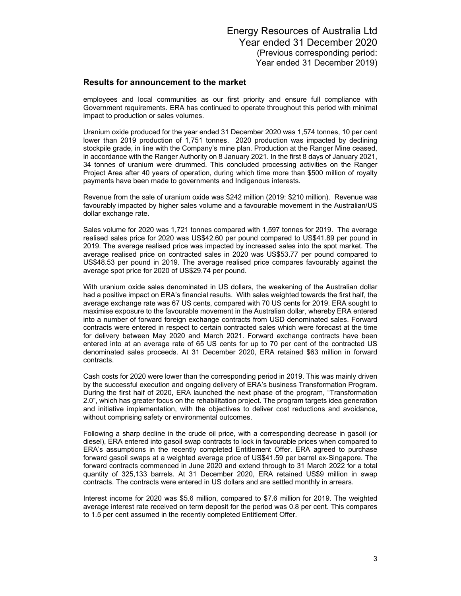employees and local communities as our first priority and ensure full compliance with Government requirements. ERA has continued to operate throughout this period with minimal impact to production or sales volumes.

Uranium oxide produced for the year ended 31 December 2020 was 1,574 tonnes, 10 per cent lower than 2019 production of 1,751 tonnes. 2020 production was impacted by declining stockpile grade, in line with the Company's mine plan. Production at the Ranger Mine ceased, in accordance with the Ranger Authority on 8 January 2021. In the first 8 days of January 2021, 34 tonnes of uranium were drummed. This concluded processing activities on the Ranger Project Area after 40 years of operation, during which time more than \$500 million of royalty payments have been made to governments and Indigenous interests.

Revenue from the sale of uranium oxide was \$242 million (2019: \$210 million). Revenue was favourably impacted by higher sales volume and a favourable movement in the Australian/US dollar exchange rate.

Sales volume for 2020 was 1,721 tonnes compared with 1,597 tonnes for 2019. The average realised sales price for 2020 was US\$42.60 per pound compared to US\$41.89 per pound in 2019. The average realised price was impacted by increased sales into the spot market. The average realised price on contracted sales in 2020 was US\$53.77 per pound compared to US\$48.53 per pound in 2019. The average realised price compares favourably against the average spot price for 2020 of US\$29.74 per pound.

With uranium oxide sales denominated in US dollars, the weakening of the Australian dollar had a positive impact on ERA's financial results. With sales weighted towards the first half, the average exchange rate was 67 US cents, compared with 70 US cents for 2019. ERA sought to maximise exposure to the favourable movement in the Australian dollar, whereby ERA entered into a number of forward foreign exchange contracts from USD denominated sales. Forward contracts were entered in respect to certain contracted sales which were forecast at the time for delivery between May 2020 and March 2021. Forward exchange contracts have been entered into at an average rate of 65 US cents for up to 70 per cent of the contracted US denominated sales proceeds. At 31 December 2020, ERA retained \$63 million in forward contracts.

Cash costs for 2020 were lower than the corresponding period in 2019. This was mainly driven by the successful execution and ongoing delivery of ERA's business Transformation Program. During the first half of 2020, ERA launched the next phase of the program, "Transformation 2.0", which has greater focus on the rehabilitation project. The program targets idea generation and initiative implementation, with the objectives to deliver cost reductions and avoidance, without comprising safety or environmental outcomes.

Following a sharp decline in the crude oil price, with a corresponding decrease in gasoil (or diesel), ERA entered into gasoil swap contracts to lock in favourable prices when compared to ERA's assumptions in the recently completed Entitlement Offer. ERA agreed to purchase forward gasoil swaps at a weighted average price of US\$41.59 per barrel ex-Singapore. The forward contracts commenced in June 2020 and extend through to 31 March 2022 for a total quantity of 325,133 barrels. At 31 December 2020, ERA retained US\$9 million in swap contracts. The contracts were entered in US dollars and are settled monthly in arrears.

Interest income for 2020 was \$5.6 million, compared to \$7.6 million for 2019. The weighted average interest rate received on term deposit for the period was 0.8 per cent. This compares to 1.5 per cent assumed in the recently completed Entitlement Offer.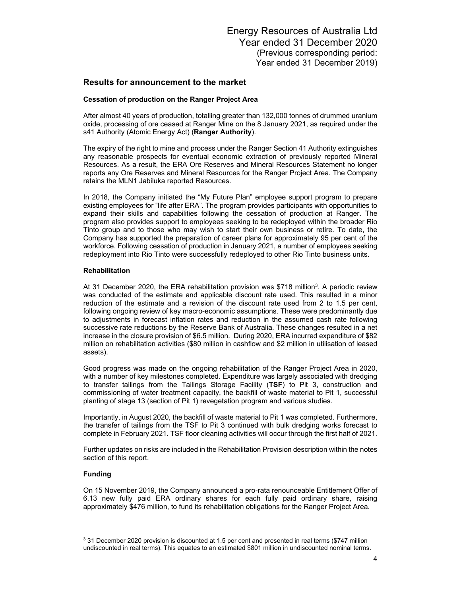### **Cessation of production on the Ranger Project Area**

After almost 40 years of production, totalling greater than 132,000 tonnes of drummed uranium oxide, processing of ore ceased at Ranger Mine on the 8 January 2021, as required under the s41 Authority (Atomic Energy Act) (**Ranger Authority**).

The expiry of the right to mine and process under the Ranger Section 41 Authority extinguishes any reasonable prospects for eventual economic extraction of previously reported Mineral Resources. As a result, the ERA Ore Reserves and Mineral Resources Statement no longer reports any Ore Reserves and Mineral Resources for the Ranger Project Area. The Company retains the MLN1 Jabiluka reported Resources.

In 2018, the Company initiated the "My Future Plan" employee support program to prepare existing employees for "life after ERA". The program provides participants with opportunities to expand their skills and capabilities following the cessation of production at Ranger. The program also provides support to employees seeking to be redeployed within the broader Rio Tinto group and to those who may wish to start their own business or retire. To date, the Company has supported the preparation of career plans for approximately 95 per cent of the workforce. Following cessation of production in January 2021, a number of employees seeking redeployment into Rio Tinto were successfully redeployed to other Rio Tinto business units.

#### **Rehabilitation**

At 31 December 2020, the ERA rehabilitation provision was \$718 million<sup>3</sup>. A periodic review was conducted of the estimate and applicable discount rate used. This resulted in a minor reduction of the estimate and a revision of the discount rate used from 2 to 1.5 per cent, following ongoing review of key macro-economic assumptions. These were predominantly due to adjustments in forecast inflation rates and reduction in the assumed cash rate following successive rate reductions by the Reserve Bank of Australia. These changes resulted in a net increase in the closure provision of \$6.5 million. During 2020, ERA incurred expenditure of \$82 million on rehabilitation activities (\$80 million in cashflow and \$2 million in utilisation of leased assets).

Good progress was made on the ongoing rehabilitation of the Ranger Project Area in 2020, with a number of key milestones completed. Expenditure was largely associated with dredging to transfer tailings from the Tailings Storage Facility (**TSF**) to Pit 3, construction and commissioning of water treatment capacity, the backfill of waste material to Pit 1, successful planting of stage 13 (section of Pit 1) revegetation program and various studies.

Importantly, in August 2020, the backfill of waste material to Pit 1 was completed. Furthermore, the transfer of tailings from the TSF to Pit 3 continued with bulk dredging works forecast to complete in February 2021. TSF floor cleaning activities will occur through the first half of 2021.

Further updates on risks are included in the Rehabilitation Provision description within the notes section of this report.

#### **Funding**

On 15 November 2019, the Company announced a pro-rata renounceable Entitlement Offer of 6.13 new fully paid ERA ordinary shares for each fully paid ordinary share, raising approximately \$476 million, to fund its rehabilitation obligations for the Ranger Project Area.

 $\overline{a}$  $3$  31 December 2020 provision is discounted at 1.5 per cent and presented in real terms (\$747 million undiscounted in real terms). This equates to an estimated \$801 million in undiscounted nominal terms.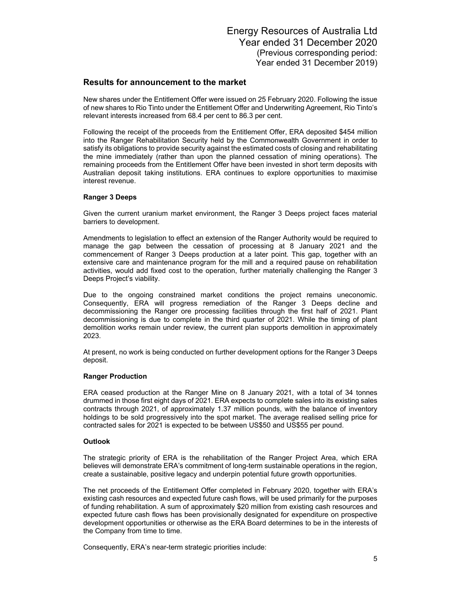New shares under the Entitlement Offer were issued on 25 February 2020. Following the issue of new shares to Rio Tinto under the Entitlement Offer and Underwriting Agreement, Rio Tinto's relevant interests increased from 68.4 per cent to 86.3 per cent.

Following the receipt of the proceeds from the Entitlement Offer, ERA deposited \$454 million into the Ranger Rehabilitation Security held by the Commonwealth Government in order to satisfy its obligations to provide security against the estimated costs of closing and rehabilitating the mine immediately (rather than upon the planned cessation of mining operations). The remaining proceeds from the Entitlement Offer have been invested in short term deposits with Australian deposit taking institutions. ERA continues to explore opportunities to maximise interest revenue.

### **Ranger 3 Deeps**

Given the current uranium market environment, the Ranger 3 Deeps project faces material barriers to development.

Amendments to legislation to effect an extension of the Ranger Authority would be required to manage the gap between the cessation of processing at 8 January 2021 and the commencement of Ranger 3 Deeps production at a later point. This gap, together with an extensive care and maintenance program for the mill and a required pause on rehabilitation activities, would add fixed cost to the operation, further materially challenging the Ranger 3 Deeps Project's viability.

Due to the ongoing constrained market conditions the project remains uneconomic. Consequently, ERA will progress remediation of the Ranger 3 Deeps decline and decommissioning the Ranger ore processing facilities through the first half of 2021. Plant decommissioning is due to complete in the third quarter of 2021. While the timing of plant demolition works remain under review, the current plan supports demolition in approximately 2023.

At present, no work is being conducted on further development options for the Ranger 3 Deeps deposit.

#### **Ranger Production**

ERA ceased production at the Ranger Mine on 8 January 2021, with a total of 34 tonnes drummed in those first eight days of 2021. ERA expects to complete sales into its existing sales contracts through 2021, of approximately 1.37 million pounds, with the balance of inventory holdings to be sold progressively into the spot market. The average realised selling price for contracted sales for 2021 is expected to be between US\$50 and US\$55 per pound.

#### **Outlook**

The strategic priority of ERA is the rehabilitation of the Ranger Project Area, which ERA believes will demonstrate ERA's commitment of long-term sustainable operations in the region, create a sustainable, positive legacy and underpin potential future growth opportunities.

The net proceeds of the Entitlement Offer completed in February 2020, together with ERA's existing cash resources and expected future cash flows, will be used primarily for the purposes of funding rehabilitation. A sum of approximately \$20 million from existing cash resources and expected future cash flows has been provisionally designated for expenditure on prospective development opportunities or otherwise as the ERA Board determines to be in the interests of the Company from time to time.

Consequently, ERA's near-term strategic priorities include: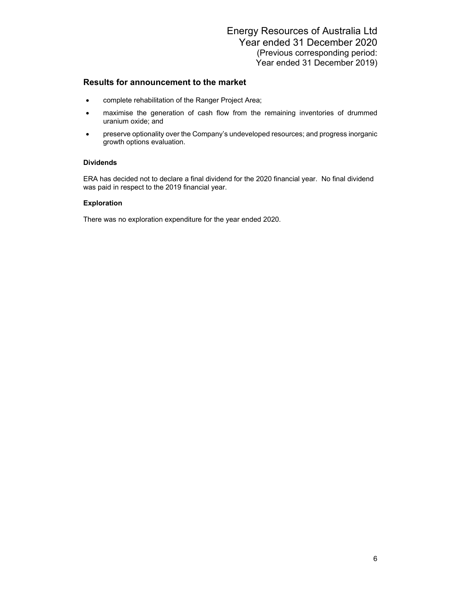- complete rehabilitation of the Ranger Project Area;
- maximise the generation of cash flow from the remaining inventories of drummed uranium oxide; and
- preserve optionality over the Company's undeveloped resources; and progress inorganic growth options evaluation.

### **Dividends**

ERA has decided not to declare a final dividend for the 2020 financial year. No final dividend was paid in respect to the 2019 financial year.

### **Exploration**

There was no exploration expenditure for the year ended 2020.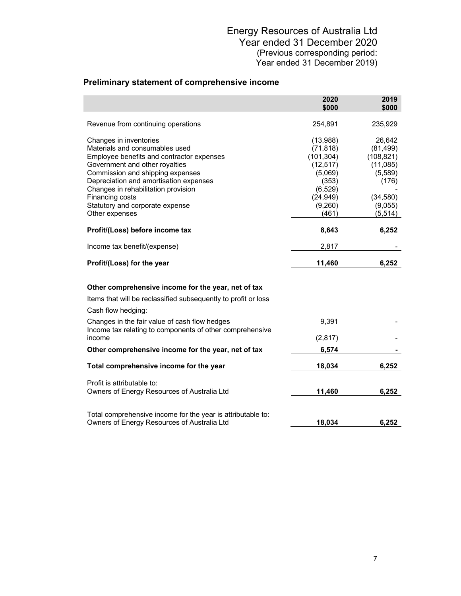# **Preliminary statement of comprehensive income**

|                                                                                                                                                                                                                                                                                                                                      | 2020<br>\$000                                                                                                     | 2019<br>\$000                                                                                        |
|--------------------------------------------------------------------------------------------------------------------------------------------------------------------------------------------------------------------------------------------------------------------------------------------------------------------------------------|-------------------------------------------------------------------------------------------------------------------|------------------------------------------------------------------------------------------------------|
| Revenue from continuing operations                                                                                                                                                                                                                                                                                                   | 254,891                                                                                                           | 235,929                                                                                              |
| Changes in inventories<br>Materials and consumables used<br>Employee benefits and contractor expenses<br>Government and other royalties<br>Commission and shipping expenses<br>Depreciation and amortisation expenses<br>Changes in rehabilitation provision<br>Financing costs<br>Statutory and corporate expense<br>Other expenses | (13,988)<br>(71, 818)<br>(101, 304)<br>(12, 517)<br>(5,069)<br>(353)<br>(6, 529)<br>(24, 949)<br>(9,260)<br>(461) | 26,642<br>(81, 499)<br>(108, 821)<br>(11,085)<br>(5,589)<br>(176)<br>(34, 580)<br>(9,055)<br>(5,514) |
| Profit/(Loss) before income tax                                                                                                                                                                                                                                                                                                      | 8,643                                                                                                             | 6,252                                                                                                |
| Income tax benefit/(expense)                                                                                                                                                                                                                                                                                                         | 2,817                                                                                                             |                                                                                                      |
| Profit/(Loss) for the year                                                                                                                                                                                                                                                                                                           | 11,460                                                                                                            | 6,252                                                                                                |
| Other comprehensive income for the year, net of tax<br>Items that will be reclassified subsequently to profit or loss<br>Cash flow hedging:                                                                                                                                                                                          |                                                                                                                   |                                                                                                      |
| Changes in the fair value of cash flow hedges<br>Income tax relating to components of other comprehensive<br>income                                                                                                                                                                                                                  | 9,391<br>(2, 817)                                                                                                 |                                                                                                      |
| Other comprehensive income for the year, net of tax                                                                                                                                                                                                                                                                                  | 6,574                                                                                                             |                                                                                                      |
| Total comprehensive income for the year                                                                                                                                                                                                                                                                                              | 18,034                                                                                                            | 6,252                                                                                                |
| Profit is attributable to:<br>Owners of Energy Resources of Australia Ltd                                                                                                                                                                                                                                                            | 11,460                                                                                                            | 6,252                                                                                                |
| Total comprehensive income for the year is attributable to:<br>Owners of Energy Resources of Australia Ltd                                                                                                                                                                                                                           | 18,034                                                                                                            | 6,252                                                                                                |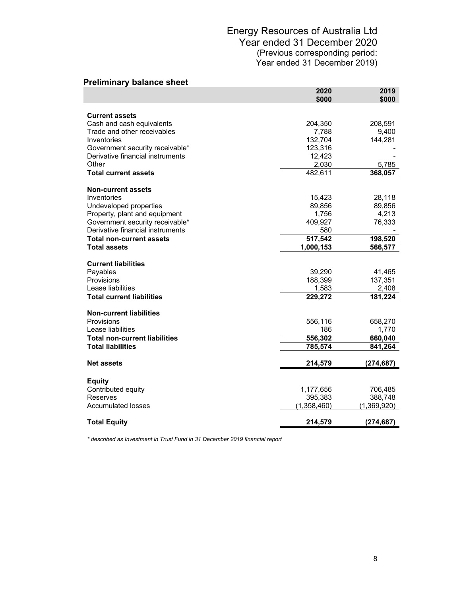| <b>Preliminary balance sheet</b>                                    |                   |               |
|---------------------------------------------------------------------|-------------------|---------------|
|                                                                     | 2020<br>\$000     | 2019<br>\$000 |
|                                                                     |                   |               |
| <b>Current assets</b>                                               |                   |               |
| Cash and cash equivalents                                           | 204,350           | 208,591       |
| Trade and other receivables<br>Inventories                          | 7,788             | 9,400         |
|                                                                     | 132,704           | 144,281       |
| Government security receivable*<br>Derivative financial instruments | 123,316<br>12,423 |               |
| Other                                                               | 2,030             | 5,785         |
| <b>Total current assets</b>                                         | 482,611           | 368,057       |
|                                                                     |                   |               |
| <b>Non-current assets</b>                                           |                   |               |
| Inventories                                                         | 15,423            | 28,118        |
| Undeveloped properties                                              | 89,856            | 89,856        |
| Property, plant and equipment                                       | 1,756             | 4,213         |
| Government security receivable*                                     | 409,927           | 76,333        |
| Derivative financial instruments                                    | 580               |               |
| <b>Total non-current assets</b>                                     | 517,542           | 198,520       |
| <b>Total assets</b>                                                 | 1,000,153         | 566,577       |
| <b>Current liabilities</b>                                          |                   |               |
| Payables                                                            | 39,290            | 41,465        |
| <b>Provisions</b>                                                   | 188,399           | 137,351       |
| Lease liabilities                                                   | 1,583             | 2,408         |
| <b>Total current liabilities</b>                                    | 229,272           | 181,224       |
|                                                                     |                   |               |
| <b>Non-current liabilities</b>                                      |                   |               |
| Provisions                                                          | 556,116           | 658,270       |
| Lease liabilities                                                   | 186               | 1,770         |
| <b>Total non-current liabilities</b>                                | 556,302           | 660,040       |
| <b>Total liabilities</b>                                            | 785,574           | 841,264       |
| <b>Net assets</b>                                                   | 214,579           | (274, 687)    |
|                                                                     |                   |               |
| <b>Equity</b>                                                       |                   |               |
| Contributed equity                                                  | 1,177,656         | 706,485       |
| Reserves                                                            | 395,383           | 388,748       |
| <b>Accumulated losses</b>                                           | (1,358,460)       | (1,369,920)   |
| <b>Total Equity</b>                                                 | 214,579           | (274, 687)    |

*\* described as Investment in Trust Fund in 31 December 2019 financial report*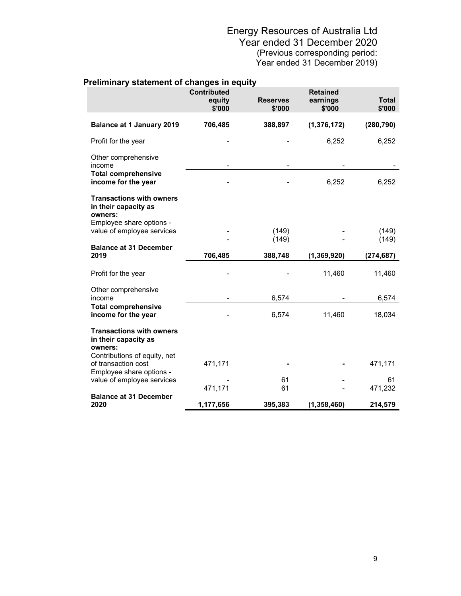|                                                                    | <b>Contributed</b><br>equity<br>\$'000 | <b>Reserves</b><br>\$'000 | <b>Retained</b><br>earnings<br>\$'000 | <b>Total</b><br>\$'000 |
|--------------------------------------------------------------------|----------------------------------------|---------------------------|---------------------------------------|------------------------|
| <b>Balance at 1 January 2019</b>                                   | 706,485                                | 388,897                   | (1, 376, 172)                         | (280, 790)             |
| Profit for the year                                                |                                        |                           | 6,252                                 | 6,252                  |
| Other comprehensive<br>income                                      |                                        |                           |                                       |                        |
| <b>Total comprehensive</b><br>income for the year                  |                                        |                           | 6,252                                 | 6,252                  |
| <b>Transactions with owners</b><br>in their capacity as<br>owners: |                                        |                           |                                       |                        |
| Employee share options -<br>value of employee services             |                                        | (149)                     |                                       | (149)                  |
|                                                                    |                                        | (149)                     |                                       | (149)                  |
|                                                                    |                                        |                           |                                       |                        |
| <b>Balance at 31 December</b><br>2019                              | 706,485                                | 388,748                   | (1, 369, 920)                         | (274, 687)             |
| Profit for the year                                                |                                        |                           | 11,460                                | 11,460                 |
| Other comprehensive<br>income                                      |                                        | 6,574                     |                                       | 6,574                  |
| <b>Total comprehensive</b><br>income for the year                  |                                        | 6,574                     | 11,460                                | 18,034                 |
| <b>Transactions with owners</b><br>in their capacity as<br>owners: |                                        |                           |                                       |                        |
| Contributions of equity, net<br>of transaction cost                | 471,171                                |                           |                                       | 471,171                |
| Employee share options -<br>value of employee services             |                                        | 61                        |                                       | 61                     |
| <b>Balance at 31 December</b>                                      | 471,171                                | 61                        |                                       | 471,232                |

## **Preliminary statement of changes in equity**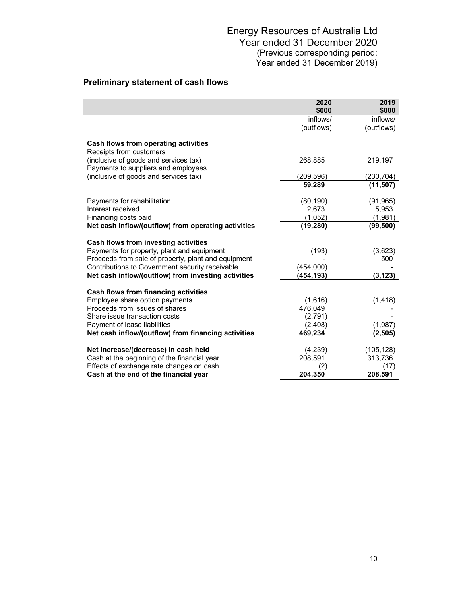# **Preliminary statement of cash flows**

I

|                                                                              | 2020<br>\$000      | 2019<br>\$000 |
|------------------------------------------------------------------------------|--------------------|---------------|
|                                                                              | inflows/           | inflows/      |
|                                                                              | (outflows)         | (outflows)    |
| Cash flows from operating activities<br>Receipts from customers              |                    |               |
| (inclusive of goods and services tax)<br>Payments to suppliers and employees | 268,885            | 219,197       |
| (inclusive of goods and services tax)                                        | (209, 596)         | (230, 704)    |
|                                                                              | 59,289             | (11, 507)     |
| Payments for rehabilitation                                                  | (80, 190)          | (91, 965)     |
| Interest received                                                            | 2,673              | 5,953         |
| Financing costs paid                                                         | (1,052)            | (1,981)       |
| Net cash inflow/(outflow) from operating activities                          | (19,280)           | (99,500)      |
| Cash flows from investing activities                                         |                    |               |
| Payments for property, plant and equipment                                   | (193)              | (3,623)       |
| Proceeds from sale of property, plant and equipment                          |                    | 500           |
| Contributions to Government security receivable                              | (454,000)          |               |
| Net cash inflow/(outflow) from investing activities                          | (454,193)          | (3, 123)      |
|                                                                              |                    |               |
| Cash flows from financing activities                                         |                    |               |
| Employee share option payments<br>Proceeds from issues of shares             | (1,616)<br>476,049 | (1, 418)      |
| Share issue transaction costs                                                | (2,791)            |               |
| Payment of lease liabilities                                                 | (2,408)            | (1,087)       |
| Net cash inflow/(outflow) from financing activities                          | 469,234            | (2,505)       |
|                                                                              |                    |               |
| Net increase/(decrease) in cash held                                         | (4,239)            | (105, 128)    |
| Cash at the beginning of the financial year                                  | 208,591            | 313,736       |
| Effects of exchange rate changes on cash                                     | 2                  | (17)          |
| Cash at the end of the financial year                                        | 204,350            | 208,591       |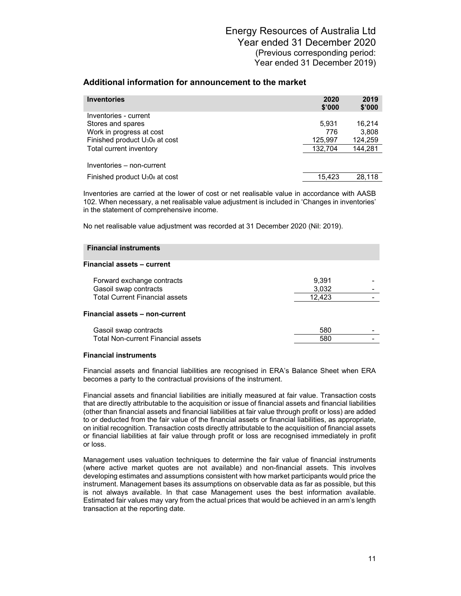| <b>Inventories</b>                                     | 2020<br>\$'000 | 2019<br>\$'000 |
|--------------------------------------------------------|----------------|----------------|
| Inventories - current                                  |                |                |
| Stores and spares                                      | 5.931          | 16.214         |
| Work in progress at cost                               | 776            | 3,808          |
| Finished product U <sub>3</sub> 0 <sub>8</sub> at cost | 125,997        | 124,259        |
| Total current inventory                                | 132.704        | 144,281        |
| Inventories – non-current                              |                |                |
| Finished product U <sub>3</sub> 0 <sub>8</sub> at cost | 15.423         | 28.118         |

Inventories are carried at the lower of cost or net realisable value in accordance with AASB 102. When necessary, a net realisable value adjustment is included in 'Changes in inventories' in the statement of comprehensive income.

No net realisable value adjustment was recorded at 31 December 2020 (Nil: 2019).

| <b>Financial instruments</b>              |        |  |
|-------------------------------------------|--------|--|
| <b>Financial assets - current</b>         |        |  |
| Forward exchange contracts                | 9,391  |  |
| Gasoil swap contracts                     | 3,032  |  |
| <b>Total Current Financial assets</b>     | 12,423 |  |
| Financial assets - non-current            |        |  |
| Gasoil swap contracts                     | 580    |  |
| <b>Total Non-current Financial assets</b> | 580    |  |
|                                           |        |  |

#### **Financial instruments**

Financial assets and financial liabilities are recognised in ERA's Balance Sheet when ERA becomes a party to the contractual provisions of the instrument.

Financial assets and financial liabilities are initially measured at fair value. Transaction costs that are directly attributable to the acquisition or issue of financial assets and financial liabilities (other than financial assets and financial liabilities at fair value through profit or loss) are added to or deducted from the fair value of the financial assets or financial liabilities, as appropriate, on initial recognition. Transaction costs directly attributable to the acquisition of financial assets or financial liabilities at fair value through profit or loss are recognised immediately in profit or loss.

Management uses valuation techniques to determine the fair value of financial instruments (where active market quotes are not available) and non-financial assets. This involves developing estimates and assumptions consistent with how market participants would price the instrument. Management bases its assumptions on observable data as far as possible, but this is not always available. In that case Management uses the best information available. Estimated fair values may vary from the actual prices that would be achieved in an arm's length transaction at the reporting date.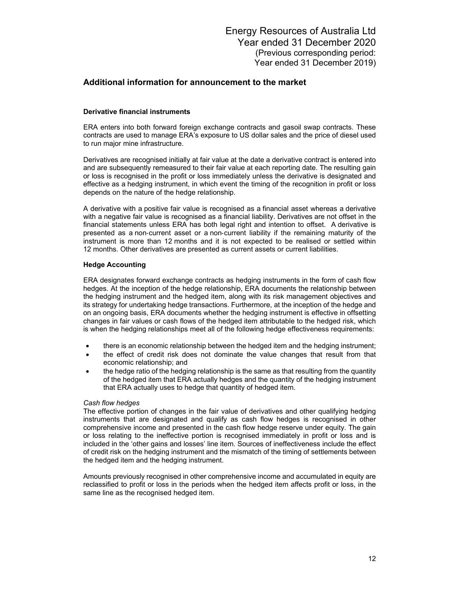### **Derivative financial instruments**

ERA enters into both forward foreign exchange contracts and gasoil swap contracts. These contracts are used to manage ERA's exposure to US dollar sales and the price of diesel used to run major mine infrastructure.

Derivatives are recognised initially at fair value at the date a derivative contract is entered into and are subsequently remeasured to their fair value at each reporting date. The resulting gain or loss is recognised in the profit or loss immediately unless the derivative is designated and effective as a hedging instrument, in which event the timing of the recognition in profit or loss depends on the nature of the hedge relationship.

A derivative with a positive fair value is recognised as a financial asset whereas a derivative with a negative fair value is recognised as a financial liability. Derivatives are not offset in the financial statements unless ERA has both legal right and intention to offset. A derivative is presented as a non-current asset or a non-current liability if the remaining maturity of the instrument is more than 12 months and it is not expected to be realised or settled within 12 months. Other derivatives are presented as current assets or current liabilities.

### **Hedge Accounting**

ERA designates forward exchange contracts as hedging instruments in the form of cash flow hedges. At the inception of the hedge relationship, ERA documents the relationship between the hedging instrument and the hedged item, along with its risk management objectives and its strategy for undertaking hedge transactions. Furthermore, at the inception of the hedge and on an ongoing basis, ERA documents whether the hedging instrument is effective in offsetting changes in fair values or cash flows of the hedged item attributable to the hedged risk, which is when the hedging relationships meet all of the following hedge effectiveness requirements:

- there is an economic relationship between the hedged item and the hedging instrument;
- the effect of credit risk does not dominate the value changes that result from that economic relationship; and
- the hedge ratio of the hedging relationship is the same as that resulting from the quantity of the hedged item that ERA actually hedges and the quantity of the hedging instrument that ERA actually uses to hedge that quantity of hedged item.

#### *Cash flow hedges*

The effective portion of changes in the fair value of derivatives and other qualifying hedging instruments that are designated and qualify as cash flow hedges is recognised in other comprehensive income and presented in the cash flow hedge reserve under equity. The gain or loss relating to the ineffective portion is recognised immediately in profit or loss and is included in the 'other gains and losses' line item. Sources of ineffectiveness include the effect of credit risk on the hedging instrument and the mismatch of the timing of settlements between the hedged item and the hedging instrument.

Amounts previously recognised in other comprehensive income and accumulated in equity are reclassified to profit or loss in the periods when the hedged item affects profit or loss, in the same line as the recognised hedged item.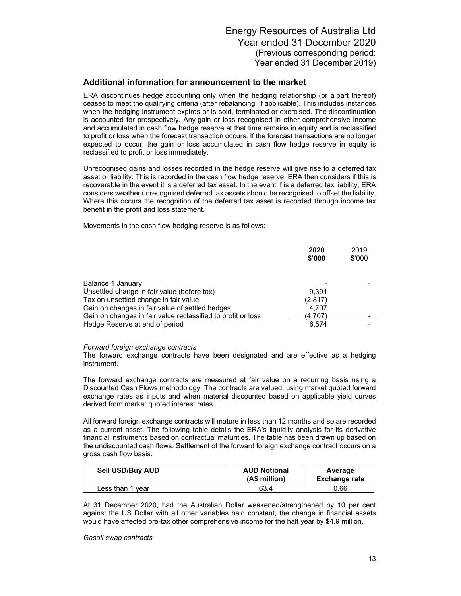ERA discontinues hedge accounting only when the hedging relationship (or a part thereof) ceases to meet the qualifying criteria (after rebalancing, if applicable). This includes instances when the hedging instrument expires or is sold, terminated or exercised. The discontinuation is accounted for prospectively. Any gain or loss recognised in other comprehensive income and accumulated in cash flow hedge reserve at that time remains in equity and is reclassified to profit or loss when the forecast transaction occurs. If the forecast transactions are no longer expected to occur, the gain or loss accumulated in cash flow hedge reserve in equity is reclassified to profit or loss immediately.

Unrecognised gains and losses recorded in the hedge reserve will give rise to a deferred tax asset or liability. This is recorded in the cash flow hedge reserve. ERA then considers if this is recoverable in the event it is a deferred tax asset. In the event if is a deferred tax liability, ERA considers weather unrecognised deferred tax assets should be recognised to offset the liability. Where this occurs the recognition of the deferred tax asset is recorded through income tax benefit in the profit and loss statement.

Movements in the cash flow hedging reserve is as follows:

|                                                              | 2020<br>\$'000 | 2019<br>\$'000 |
|--------------------------------------------------------------|----------------|----------------|
| Balance 1 January                                            |                |                |
| Unsettled change in fair value (before tax)                  | 9.391          |                |
| Tax on unsettled change in fair value                        | (2,817)        |                |
| Gain on changes in fair value of settled hedges              | 4.707          |                |
| Gain on changes in fair value reclassified to profit or loss | (4.707)        |                |
| Hedge Reserve at end of period                               | 6.574          |                |

#### *Forward foreign exchange contracts*

The forward exchange contracts have been designated and are effective as a hedging instrument.

The forward exchange contracts are measured at fair value on a recurring basis using a Discounted Cash Flows methodology. The contracts are valued, using market quoted forward exchange rates as inputs and when material discounted based on applicable yield curves derived from market quoted interest rates.

All forward foreign exchange contracts will mature in less than 12 months and so are recorded as a current asset. The following table details the ERA's liquidity analysis for its derivative financial instruments based on contractual maturities. The table has been drawn up based on the undiscounted cash flows. Settlement of the forward foreign exchange contract occurs on a gross cash flow basis.

| Sell USD/Buy AUD | <b>AUD Notional</b><br>(A\$ million) | Average<br><b>Exchange rate</b> |
|------------------|--------------------------------------|---------------------------------|
| Less than 1 year | 63.4                                 | 0.66                            |

At 31 December 2020, had the Australian Dollar weakened/strengthened by 10 per cent against the US Dollar with all other variables held constant, the change in financial assets would have affected pre-tax other comprehensive income for the half year by \$4.9 million.

*Gasoil swap contracts*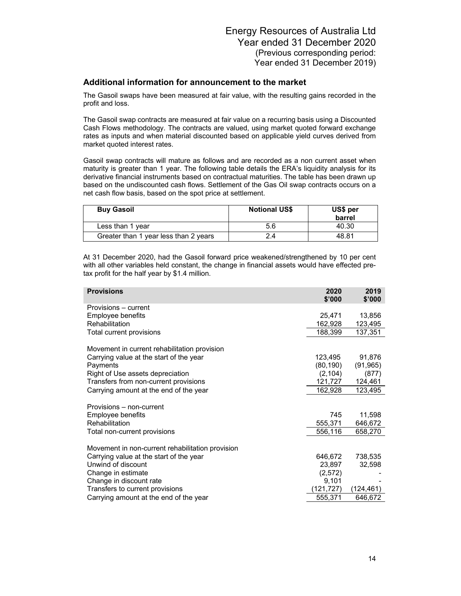The Gasoil swaps have been measured at fair value, with the resulting gains recorded in the profit and loss.

The Gasoil swap contracts are measured at fair value on a recurring basis using a Discounted Cash Flows methodology. The contracts are valued, using market quoted forward exchange rates as inputs and when material discounted based on applicable yield curves derived from market quoted interest rates.

Gasoil swap contracts will mature as follows and are recorded as a non current asset when maturity is greater than 1 year. The following table details the ERA's liquidity analysis for its derivative financial instruments based on contractual maturities. The table has been drawn up based on the undiscounted cash flows. Settlement of the Gas Oil swap contracts occurs on a net cash flow basis, based on the spot price at settlement.

| <b>Buy Gasoil</b>                     | <b>Notional US\$</b> | US\$ per<br>barrel |
|---------------------------------------|----------------------|--------------------|
| Less than 1 year                      | 5.6                  | 40.30              |
| Greater than 1 year less than 2 years | 2.4                  | 48.81              |

At 31 December 2020, had the Gasoil forward price weakened/strengthened by 10 per cent with all other variables held constant, the change in financial assets would have effected pretax profit for the half year by \$1.4 million.

| <b>Provisions</b>                                | 2020<br>\$'000 | 2019<br>\$'000 |
|--------------------------------------------------|----------------|----------------|
| Provisions – current                             |                |                |
| Employee benefits                                | 25,471         | 13,856         |
| Rehabilitation                                   | 162,928        | 123,495        |
| Total current provisions                         | 188,399        | 137,351        |
| Movement in current rehabilitation provision     |                |                |
| Carrying value at the start of the year          | 123,495        | 91,876         |
| Payments                                         | (80, 190)      | (91, 965)      |
| Right of Use assets depreciation                 | (2, 104)       | (877)          |
| Transfers from non-current provisions            | 121,727        | 124,461        |
| Carrying amount at the end of the year           | 162,928        | 123,495        |
| Provisions - non-current                         |                |                |
| Employee benefits                                | 745            | 11,598         |
| Rehabilitation                                   | 555,371        | 646,672        |
| Total non-current provisions                     | 556,116        | 658,270        |
| Movement in non-current rehabilitation provision |                |                |
| Carrying value at the start of the year          | 646,672        | 738,535        |
| Unwind of discount                               | 23,897         | 32,598         |
| Change in estimate                               | (2,572)        |                |
| Change in discount rate                          | 9,101          |                |
| Transfers to current provisions                  | (121,727)      | (124,461)      |
| Carrying amount at the end of the year           | 555,371        | 646,672        |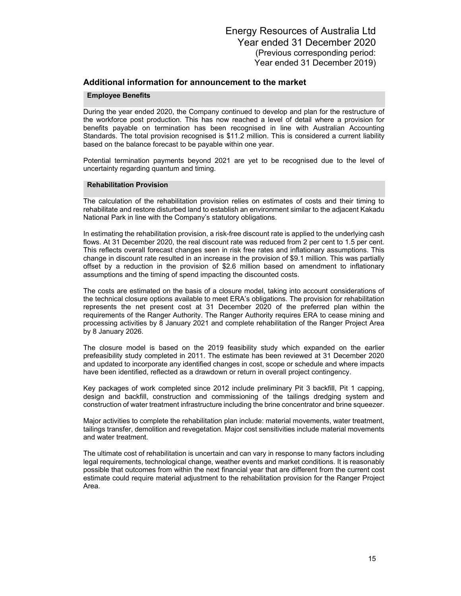#### **Employee Benefits**

During the year ended 2020, the Company continued to develop and plan for the restructure of the workforce post production. This has now reached a level of detail where a provision for benefits payable on termination has been recognised in line with Australian Accounting Standards. The total provision recognised is \$11.2 million. This is considered a current liability based on the balance forecast to be payable within one year.

Potential termination payments beyond 2021 are yet to be recognised due to the level of uncertainty regarding quantum and timing.

#### **Rehabilitation Provision**

The calculation of the rehabilitation provision relies on estimates of costs and their timing to rehabilitate and restore disturbed land to establish an environment similar to the adjacent Kakadu National Park in line with the Company's statutory obligations.

In estimating the rehabilitation provision, a risk-free discount rate is applied to the underlying cash flows. At 31 December 2020, the real discount rate was reduced from 2 per cent to 1.5 per cent. This reflects overall forecast changes seen in risk free rates and inflationary assumptions. This change in discount rate resulted in an increase in the provision of \$9.1 million. This was partially offset by a reduction in the provision of \$2.6 million based on amendment to inflationary assumptions and the timing of spend impacting the discounted costs.

The costs are estimated on the basis of a closure model, taking into account considerations of the technical closure options available to meet ERA's obligations. The provision for rehabilitation represents the net present cost at 31 December 2020 of the preferred plan within the requirements of the Ranger Authority. The Ranger Authority requires ERA to cease mining and processing activities by 8 January 2021 and complete rehabilitation of the Ranger Project Area by 8 January 2026.

The closure model is based on the 2019 feasibility study which expanded on the earlier prefeasibility study completed in 2011. The estimate has been reviewed at 31 December 2020 and updated to incorporate any identified changes in cost, scope or schedule and where impacts have been identified, reflected as a drawdown or return in overall project contingency.

Key packages of work completed since 2012 include preliminary Pit 3 backfill, Pit 1 capping, design and backfill, construction and commissioning of the tailings dredging system and construction of water treatment infrastructure including the brine concentrator and brine squeezer.

Major activities to complete the rehabilitation plan include: material movements, water treatment, tailings transfer, demolition and revegetation. Major cost sensitivities include material movements and water treatment.

The ultimate cost of rehabilitation is uncertain and can vary in response to many factors including legal requirements, technological change, weather events and market conditions. It is reasonably possible that outcomes from within the next financial year that are different from the current cost estimate could require material adjustment to the rehabilitation provision for the Ranger Project Area.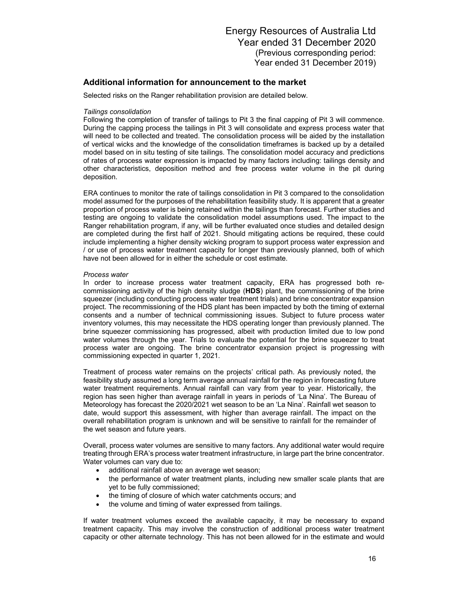### **Additional information for announcement to the market**

Selected risks on the Ranger rehabilitation provision are detailed below.

#### *Tailings consolidation*

Following the completion of transfer of tailings to Pit 3 the final capping of Pit 3 will commence. During the capping process the tailings in Pit 3 will consolidate and express process water that will need to be collected and treated. The consolidation process will be aided by the installation of vertical wicks and the knowledge of the consolidation timeframes is backed up by a detailed model based on in situ testing of site tailings. The consolidation model accuracy and predictions of rates of process water expression is impacted by many factors including: tailings density and other characteristics, deposition method and free process water volume in the pit during deposition.

ERA continues to monitor the rate of tailings consolidation in Pit 3 compared to the consolidation model assumed for the purposes of the rehabilitation feasibility study. It is apparent that a greater proportion of process water is being retained within the tailings than forecast. Further studies and testing are ongoing to validate the consolidation model assumptions used. The impact to the Ranger rehabilitation program, if any, will be further evaluated once studies and detailed design are completed during the first half of 2021. Should mitigating actions be required, these could include implementing a higher density wicking program to support process water expression and / or use of process water treatment capacity for longer than previously planned, both of which have not been allowed for in either the schedule or cost estimate.

#### *Process water*

In order to increase process water treatment capacity, ERA has progressed both recommissioning activity of the high density sludge (**HDS**) plant, the commissioning of the brine squeezer (including conducting process water treatment trials) and brine concentrator expansion project. The recommissioning of the HDS plant has been impacted by both the timing of external consents and a number of technical commissioning issues. Subject to future process water inventory volumes, this may necessitate the HDS operating longer than previously planned. The brine squeezer commissioning has progressed, albeit with production limited due to low pond water volumes through the year. Trials to evaluate the potential for the brine squeezer to treat process water are ongoing. The brine concentrator expansion project is progressing with commissioning expected in quarter 1, 2021.

Treatment of process water remains on the projects' critical path. As previously noted, the feasibility study assumed a long term average annual rainfall for the region in forecasting future water treatment requirements. Annual rainfall can vary from year to year. Historically, the region has seen higher than average rainfall in years in periods of 'La Nina'. The Bureau of Meteorology has forecast the 2020/2021 wet season to be an 'La Nina'. Rainfall wet season to date, would support this assessment, with higher than average rainfall. The impact on the overall rehabilitation program is unknown and will be sensitive to rainfall for the remainder of the wet season and future years.

Overall, process water volumes are sensitive to many factors. Any additional water would require treating through ERA's process water treatment infrastructure, in large part the brine concentrator. Water volumes can vary due to:

- additional rainfall above an average wet season;
- the performance of water treatment plants, including new smaller scale plants that are yet to be fully commissioned;
- the timing of closure of which water catchments occurs; and
- the volume and timing of water expressed from tailings.

If water treatment volumes exceed the available capacity, it may be necessary to expand treatment capacity. This may involve the construction of additional process water treatment capacity or other alternate technology. This has not been allowed for in the estimate and would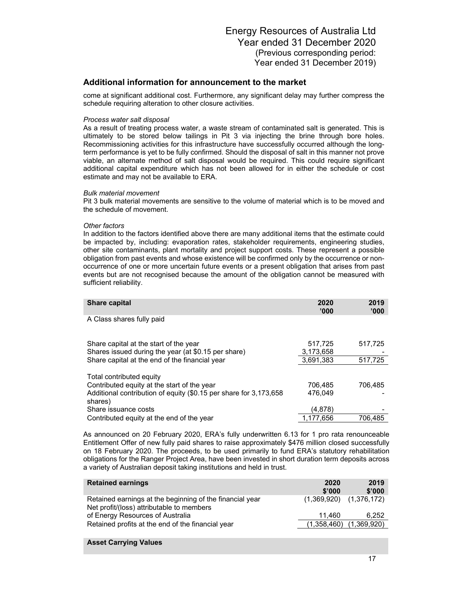come at significant additional cost. Furthermore, any significant delay may further compress the schedule requiring alteration to other closure activities.

#### *Process water salt disposal*

As a result of treating process water, a waste stream of contaminated salt is generated. This is ultimately to be stored below tailings in Pit 3 via injecting the brine through bore holes. Recommissioning activities for this infrastructure have successfully occurred although the longterm performance is yet to be fully confirmed. Should the disposal of salt in this manner not prove viable, an alternate method of salt disposal would be required. This could require significant additional capital expenditure which has not been allowed for in either the schedule or cost estimate and may not be available to ERA.

### *Bulk material movement*

Pit 3 bulk material movements are sensitive to the volume of material which is to be moved and the schedule of movement.

### *Other factors*

In addition to the factors identified above there are many additional items that the estimate could be impacted by, including: evaporation rates, stakeholder requirements, engineering studies, other site contaminants, plant mortality and project support costs. These represent a possible obligation from past events and whose existence will be confirmed only by the occurrence or nonoccurrence of one or more uncertain future events or a present obligation that arises from past events but are not recognised because the amount of the obligation cannot be measured with sufficient reliability.

| <b>Share capital</b>                                                                                                                                    | 2020<br>'000'      | 2019<br>'000' |
|---------------------------------------------------------------------------------------------------------------------------------------------------------|--------------------|---------------|
| A Class shares fully paid                                                                                                                               |                    |               |
| Share capital at the start of the year                                                                                                                  | 517,725            | 517,725       |
| Shares issued during the year (at \$0.15 per share)                                                                                                     | 3,173,658          |               |
| Share capital at the end of the financial year                                                                                                          | 3.691.383          | 517,725       |
| Total contributed equity<br>Contributed equity at the start of the year<br>Additional contribution of equity (\$0.15 per share for 3,173,658<br>shares) | 706.485<br>476,049 | 706,485       |
| Share issuance costs                                                                                                                                    | (4,878)            |               |
| Contributed equity at the end of the year                                                                                                               | 1.177.656          | 706.485       |

As announced on 20 February 2020, ERA's fully underwritten 6.13 for 1 pro rata renounceable Entitlement Offer of new fully paid shares to raise approximately \$476 million closed successfully on 18 February 2020. The proceeds, to be used primarily to fund ERA's statutory rehabilitation obligations for the Ranger Project Area, have been invested in short duration term deposits across a variety of Australian deposit taking institutions and held in trust.

| <b>Retained earnings</b>                                                                              | 2020<br>\$'000              | 2019<br>\$'000 |
|-------------------------------------------------------------------------------------------------------|-----------------------------|----------------|
| Retained earnings at the beginning of the financial year<br>Net profit/(loss) attributable to members | $(1,369,920)$ $(1,376,172)$ |                |
| of Energy Resources of Australia                                                                      | 11.460                      | 6.252          |
| Retained profits at the end of the financial year                                                     | (1,358,460)                 | (1,369,920)    |
|                                                                                                       |                             |                |

#### **Asset Carrying Values**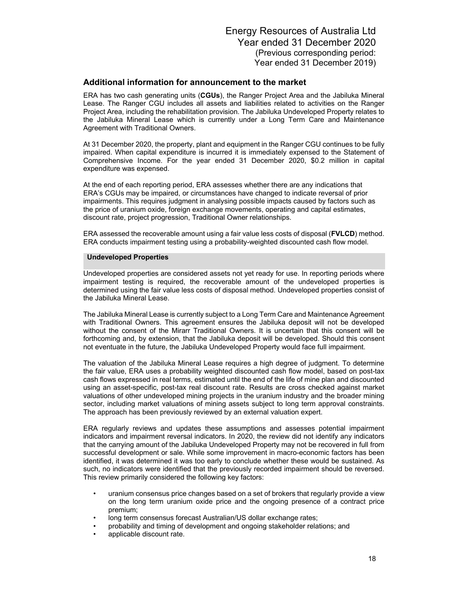ERA has two cash generating units (**CGUs**), the Ranger Project Area and the Jabiluka Mineral Lease. The Ranger CGU includes all assets and liabilities related to activities on the Ranger Project Area, including the rehabilitation provision. The Jabiluka Undeveloped Property relates to the Jabiluka Mineral Lease which is currently under a Long Term Care and Maintenance Agreement with Traditional Owners.

At 31 December 2020, the property, plant and equipment in the Ranger CGU continues to be fully impaired. When capital expenditure is incurred it is immediately expensed to the Statement of Comprehensive Income. For the year ended 31 December 2020, \$0.2 million in capital expenditure was expensed.

At the end of each reporting period, ERA assesses whether there are any indications that ERA's CGUs may be impaired, or circumstances have changed to indicate reversal of prior impairments. This requires judgment in analysing possible impacts caused by factors such as the price of uranium oxide, foreign exchange movements, operating and capital estimates, discount rate, project progression, Traditional Owner relationships.

ERA assessed the recoverable amount using a fair value less costs of disposal (**FVLCD**) method. ERA conducts impairment testing using a probability-weighted discounted cash flow model.

#### **Undeveloped Properties**

Undeveloped properties are considered assets not yet ready for use. In reporting periods where impairment testing is required, the recoverable amount of the undeveloped properties is determined using the fair value less costs of disposal method. Undeveloped properties consist of the Jabiluka Mineral Lease.

The Jabiluka Mineral Lease is currently subject to a Long Term Care and Maintenance Agreement with Traditional Owners. This agreement ensures the Jabiluka deposit will not be developed without the consent of the Mirarr Traditional Owners. It is uncertain that this consent will be forthcoming and, by extension, that the Jabiluka deposit will be developed. Should this consent not eventuate in the future, the Jabiluka Undeveloped Property would face full impairment.

The valuation of the Jabiluka Mineral Lease requires a high degree of judgment. To determine the fair value, ERA uses a probability weighted discounted cash flow model, based on post-tax cash flows expressed in real terms, estimated until the end of the life of mine plan and discounted using an asset-specific, post-tax real discount rate. Results are cross checked against market valuations of other undeveloped mining projects in the uranium industry and the broader mining sector, including market valuations of mining assets subject to long term approval constraints. The approach has been previously reviewed by an external valuation expert.

ERA regularly reviews and updates these assumptions and assesses potential impairment indicators and impairment reversal indicators. In 2020, the review did not identify any indicators that the carrying amount of the Jabiluka Undeveloped Property may not be recovered in full from successful development or sale. While some improvement in macro-economic factors has been identified, it was determined it was too early to conclude whether these would be sustained. As such, no indicators were identified that the previously recorded impairment should be reversed. This review primarily considered the following key factors:

- uranium consensus price changes based on a set of brokers that regularly provide a view on the long term uranium oxide price and the ongoing presence of a contract price premium;
- long term consensus forecast Australian/US dollar exchange rates;
- probability and timing of development and ongoing stakeholder relations; and
- applicable discount rate.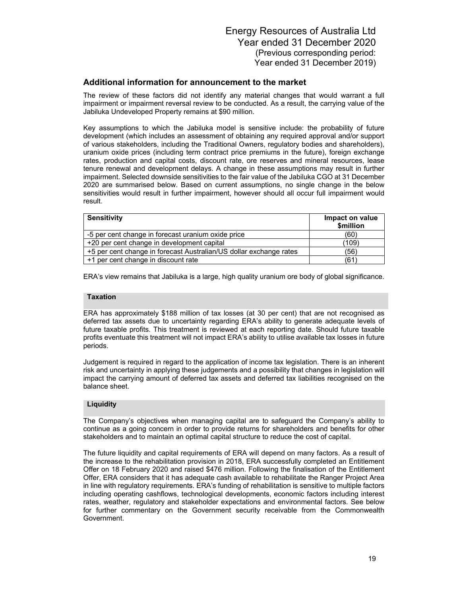The review of these factors did not identify any material changes that would warrant a full impairment or impairment reversal review to be conducted. As a result, the carrying value of the Jabiluka Undeveloped Property remains at \$90 million.

Key assumptions to which the Jabiluka model is sensitive include: the probability of future development (which includes an assessment of obtaining any required approval and/or support of various stakeholders, including the Traditional Owners, regulatory bodies and shareholders), uranium oxide prices (including term contract price premiums in the future), foreign exchange rates, production and capital costs, discount rate, ore reserves and mineral resources, lease tenure renewal and development delays. A change in these assumptions may result in further impairment. Selected downside sensitivities to the fair value of the Jabiluka CGO at 31 December 2020 are summarised below. Based on current assumptions, no single change in the below sensitivities would result in further impairment, however should all occur full impairment would result.

| <b>Sensitivity</b>                                                 | Impact on value<br>\$million |
|--------------------------------------------------------------------|------------------------------|
| -5 per cent change in forecast uranium oxide price                 | (60)                         |
| +20 per cent change in development capital                         | (109)                        |
| +5 per cent change in forecast Australian/US dollar exchange rates | (56)                         |
| +1 per cent change in discount rate                                | (61                          |

ERA's view remains that Jabiluka is a large, high quality uranium ore body of global significance.

#### **Taxation**

ERA has approximately \$188 million of tax losses (at 30 per cent) that are not recognised as deferred tax assets due to uncertainty regarding ERA's ability to generate adequate levels of future taxable profits. This treatment is reviewed at each reporting date. Should future taxable profits eventuate this treatment will not impact ERA's ability to utilise available tax losses in future periods.

Judgement is required in regard to the application of income tax legislation. There is an inherent risk and uncertainty in applying these judgements and a possibility that changes in legislation will impact the carrying amount of deferred tax assets and deferred tax liabilities recognised on the balance sheet.

### **Liquidity**

The Company's objectives when managing capital are to safeguard the Company's ability to continue as a going concern in order to provide returns for shareholders and benefits for other stakeholders and to maintain an optimal capital structure to reduce the cost of capital.

The future liquidity and capital requirements of ERA will depend on many factors. As a result of the increase to the rehabilitation provision in 2018, ERA successfully completed an Entitlement Offer on 18 February 2020 and raised \$476 million. Following the finalisation of the Entitlement Offer, ERA considers that it has adequate cash available to rehabilitate the Ranger Project Area in line with regulatory requirements. ERA's funding of rehabilitation is sensitive to multiple factors including operating cashflows, technological developments, economic factors including interest rates, weather, regulatory and stakeholder expectations and environmental factors. See below for further commentary on the Government security receivable from the Commonwealth Government.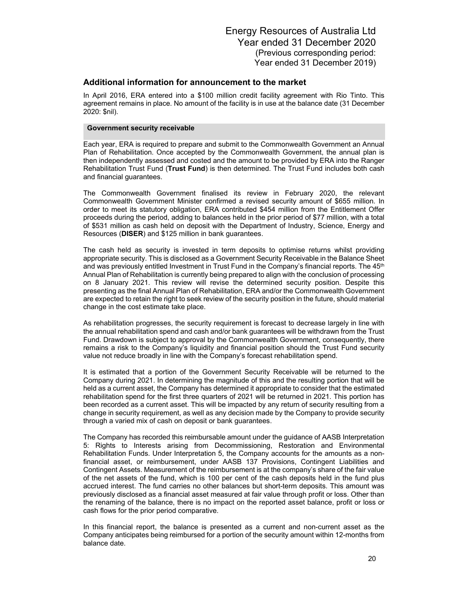In April 2016, ERA entered into a \$100 million credit facility agreement with Rio Tinto. This agreement remains in place. No amount of the facility is in use at the balance date (31 December 2020: \$nil).

### **Government security receivable**

Each year, ERA is required to prepare and submit to the Commonwealth Government an Annual Plan of Rehabilitation. Once accepted by the Commonwealth Government, the annual plan is then independently assessed and costed and the amount to be provided by ERA into the Ranger Rehabilitation Trust Fund (**Trust Fund**) is then determined. The Trust Fund includes both cash and financial guarantees.

The Commonwealth Government finalised its review in February 2020, the relevant Commonwealth Government Minister confirmed a revised security amount of \$655 million. In order to meet its statutory obligation, ERA contributed \$454 million from the Entitlement Offer proceeds during the period, adding to balances held in the prior period of \$77 million, with a total of \$531 million as cash held on deposit with the Department of Industry, Science, Energy and Resources (**DISER**) and \$125 million in bank guarantees.

The cash held as security is invested in term deposits to optimise returns whilst providing appropriate security. This is disclosed as a Government Security Receivable in the Balance Sheet and was previously entitled Investment in Trust Fund in the Company's financial reports. The 45<sup>th</sup> Annual Plan of Rehabilitation is currently being prepared to align with the conclusion of processing on 8 January 2021. This review will revise the determined security position. Despite this presenting as the final Annual Plan of Rehabilitation, ERA and/or the Commonwealth Government are expected to retain the right to seek review of the security position in the future, should material change in the cost estimate take place.

As rehabilitation progresses, the security requirement is forecast to decrease largely in line with the annual rehabilitation spend and cash and/or bank guarantees will be withdrawn from the Trust Fund. Drawdown is subject to approval by the Commonwealth Government, consequently, there remains a risk to the Company's liquidity and financial position should the Trust Fund security value not reduce broadly in line with the Company's forecast rehabilitation spend.

It is estimated that a portion of the Government Security Receivable will be returned to the Company during 2021. In determining the magnitude of this and the resulting portion that will be held as a current asset, the Company has determined it appropriate to consider that the estimated rehabilitation spend for the first three quarters of 2021 will be returned in 2021. This portion has been recorded as a current asset. This will be impacted by any return of security resulting from a change in security requirement, as well as any decision made by the Company to provide security through a varied mix of cash on deposit or bank guarantees.

The Company has recorded this reimbursable amount under the guidance of AASB Interpretation 5: Rights to Interests arising from Decommissioning, Restoration and Environmental Rehabilitation Funds. Under Interpretation 5, the Company accounts for the amounts as a nonfinancial asset, or reimbursement, under AASB 137 Provisions, Contingent Liabilities and Contingent Assets. Measurement of the reimbursement is at the company's share of the fair value of the net assets of the fund, which is 100 per cent of the cash deposits held in the fund plus accrued interest. The fund carries no other balances but short-term deposits. This amount was previously disclosed as a financial asset measured at fair value through profit or loss. Other than the renaming of the balance, there is no impact on the reported asset balance, profit or loss or cash flows for the prior period comparative.

In this financial report, the balance is presented as a current and non-current asset as the Company anticipates being reimbursed for a portion of the security amount within 12-months from balance date.